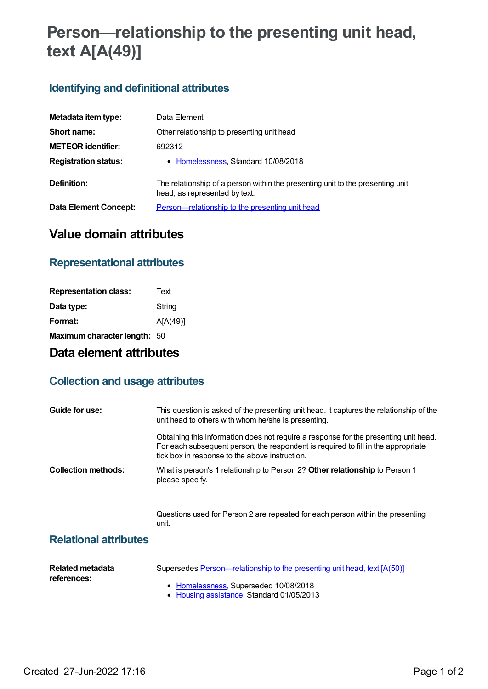# **Person—relationship to the presenting unit head, text A[A(49)]**

## **Identifying and definitional attributes**

| Metadata item type:          | Data Element                                                                                                    |
|------------------------------|-----------------------------------------------------------------------------------------------------------------|
| Short name:                  | Other relationship to presenting unit head                                                                      |
| <b>METEOR identifier:</b>    | 692312                                                                                                          |
| <b>Registration status:</b>  | • Homelessness, Standard 10/08/2018                                                                             |
| Definition:                  | The relationship of a person within the presenting unit to the presenting unit<br>head, as represented by text. |
| <b>Data Element Concept:</b> | <u>Person—relationship to the presenting unit head</u>                                                          |

# **Value domain attributes**

#### **Representational attributes**

| Text                         |
|------------------------------|
| String                       |
| A[A(49)]                     |
| Maximum character length: 50 |
|                              |

## **Data element attributes**

#### **Collection and usage attributes**

| Guide for use:             | This question is asked of the presenting unit head. It captures the relationship of the<br>unit head to others with whom he/she is presenting.                                                                              |
|----------------------------|-----------------------------------------------------------------------------------------------------------------------------------------------------------------------------------------------------------------------------|
|                            | Obtaining this information does not require a response for the presenting unit head.<br>For each subsequent person, the respondent is required to fill in the appropriate<br>tick box in response to the above instruction. |
| <b>Collection methods:</b> | What is person's 1 relationship to Person 2? Other relationship to Person 1<br>please specify.                                                                                                                              |
|                            | Questions used for Person 2 are repeated for each person within the presenting                                                                                                                                              |

unit.

#### **Relational attributes**

| Related metadata<br>references: | Supersedes Person—relationship to the presenting unit head, text [A(50)]           |
|---------------------------------|------------------------------------------------------------------------------------|
|                                 | • Homelessness, Superseded 10/08/2018<br>• Housing assistance, Standard 01/05/2013 |